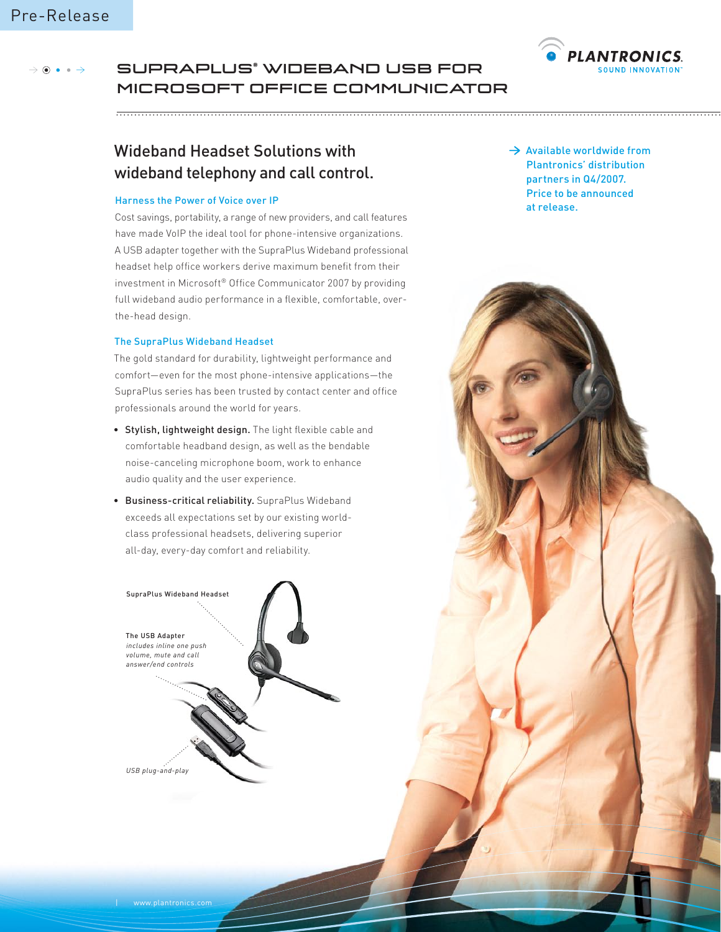

### SupraPlus® Wideband USB for  $\circ \bullet \bullet \rightarrow$ Microsoft Office Communicator

# Wideband Headset Solutions with wideband telephony and call control.

## Harness the Power of Voice over IP

Cost savings, portability, a range of new providers, and call features have made VoIP the ideal tool for phone-intensive organizations. A USB adapter together with the SupraPlus Wideband professional headset help office workers derive maximum benefit from their investment in Microsoft® Office Communicator 2007 by providing full wideband audio performance in a flexible, comfortable, overthe-head design.

## The SupraPlus Wideband Headset

The gold standard for durability, lightweight performance and comfort—even for the most phone-intensive applications—the SupraPlus series has been trusted by contact center and office professionals around the world for years.

- Stylish, lightweight design. The light flexible cable and comfortable headband design, as well as the bendable noise-canceling microphone boom, work to enhance audio quality and the user experience.
- Business-critical reliability. SupraPlus Wideband exceeds all expectations set by our existing worldclass professional headsets, delivering superior all-day, every-day comfort and reliability.



 $\rightarrow$  Available worldwide from Plantronics' distribution partners in Q4/2007. Price to be announced at release.